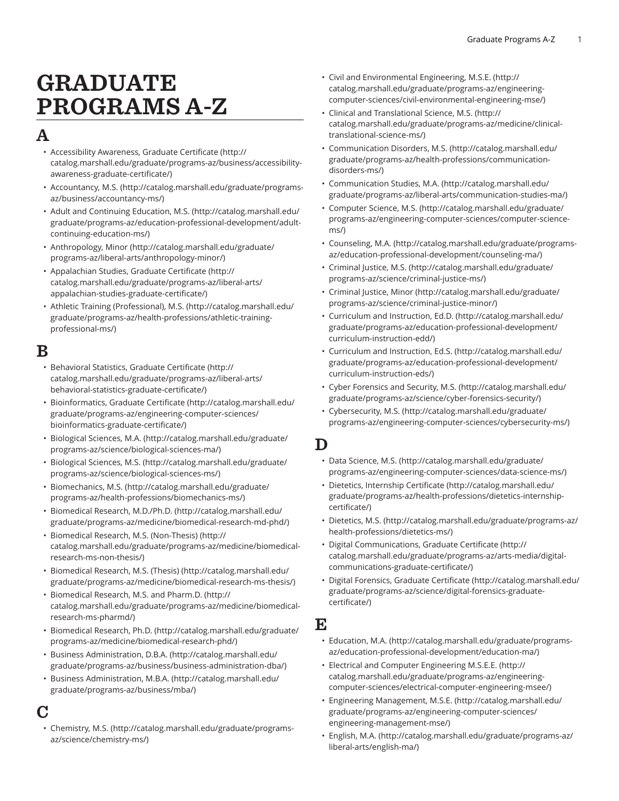# GRADUATE PROGRAMS A-Z

# A

- [Accessibility](http://catalog.marshall.edu/graduate/programs-az/business/accessibility-awareness-graduate-certificate/) Awareness, Graduate Certificate [\(http://](http://catalog.marshall.edu/graduate/programs-az/business/accessibility-awareness-graduate-certificate/) [catalog.marshall.edu/graduate/programs-az/business/accessibility](http://catalog.marshall.edu/graduate/programs-az/business/accessibility-awareness-graduate-certificate/)[awareness-graduate-certificate/\)](http://catalog.marshall.edu/graduate/programs-az/business/accessibility-awareness-graduate-certificate/)
- [Accountancy,](http://catalog.marshall.edu/graduate/programs-az/business/accountancy-ms/) M.S. [\(http://catalog.marshall.edu/graduate/programs](http://catalog.marshall.edu/graduate/programs-az/business/accountancy-ms/)[az/business/accountancy-ms/](http://catalog.marshall.edu/graduate/programs-az/business/accountancy-ms/))
- [Adult and Continuing Education, M.S. \(http://catalog.marshall.edu/](http://catalog.marshall.edu/graduate/programs-az/education-professional-development/adult-continuing-education-ms/) [graduate/programs-az/education-professional-development/adult](http://catalog.marshall.edu/graduate/programs-az/education-professional-development/adult-continuing-education-ms/)[continuing-education-ms/\)](http://catalog.marshall.edu/graduate/programs-az/education-professional-development/adult-continuing-education-ms/)
- [Anthropology,](http://catalog.marshall.edu/graduate/programs-az/liberal-arts/anthropology-minor/) Minor ([http://catalog.marshall.edu/graduate/](http://catalog.marshall.edu/graduate/programs-az/liberal-arts/anthropology-minor/) [programs-az/liberal-arts/anthropology-minor/](http://catalog.marshall.edu/graduate/programs-az/liberal-arts/anthropology-minor/))
- [Appalachian](http://catalog.marshall.edu/graduate/programs-az/liberal-arts/appalachian-studies-graduate-certificate/) Studies, Graduate Certificate ([http://](http://catalog.marshall.edu/graduate/programs-az/liberal-arts/appalachian-studies-graduate-certificate/) [catalog.marshall.edu/graduate/programs-az/liberal-arts/](http://catalog.marshall.edu/graduate/programs-az/liberal-arts/appalachian-studies-graduate-certificate/) [appalachian-studies-graduate-certificate/\)](http://catalog.marshall.edu/graduate/programs-az/liberal-arts/appalachian-studies-graduate-certificate/)
- Athletic Training [\(Professional\),](http://catalog.marshall.edu/graduate/programs-az/health-professions/athletic-training-professional-ms/) M.S. ([http://catalog.marshall.edu/](http://catalog.marshall.edu/graduate/programs-az/health-professions/athletic-training-professional-ms/) [graduate/programs-az/health-professions/athletic-training](http://catalog.marshall.edu/graduate/programs-az/health-professions/athletic-training-professional-ms/)[professional-ms/\)](http://catalog.marshall.edu/graduate/programs-az/health-professions/athletic-training-professional-ms/)

### $\bf B$

- [Behavioral](http://catalog.marshall.edu/graduate/programs-az/liberal-arts/behavioral-statistics-graduate-certificate/) Statistics, Graduate Certificate ([http://](http://catalog.marshall.edu/graduate/programs-az/liberal-arts/behavioral-statistics-graduate-certificate/) [catalog.marshall.edu/graduate/programs-az/liberal-arts/](http://catalog.marshall.edu/graduate/programs-az/liberal-arts/behavioral-statistics-graduate-certificate/) [behavioral-statistics-graduate-certificate/](http://catalog.marshall.edu/graduate/programs-az/liberal-arts/behavioral-statistics-graduate-certificate/))
- [Bioinformatics,](http://catalog.marshall.edu/graduate/programs-az/engineering-computer-sciences/bioinformatics-graduate-certificate/) Graduate Certificate [\(http://catalog.marshall.edu/](http://catalog.marshall.edu/graduate/programs-az/engineering-computer-sciences/bioinformatics-graduate-certificate/) [graduate/programs-az/engineering-computer-sciences/](http://catalog.marshall.edu/graduate/programs-az/engineering-computer-sciences/bioinformatics-graduate-certificate/) [bioinformatics-graduate-certificate/](http://catalog.marshall.edu/graduate/programs-az/engineering-computer-sciences/bioinformatics-graduate-certificate/))
- [Biological Sciences, M.A. \(http://catalog.marshall.edu/graduate/](http://catalog.marshall.edu/graduate/programs-az/science/biological-sciences-ma/) [programs-az/science/biological-sciences-ma/](http://catalog.marshall.edu/graduate/programs-az/science/biological-sciences-ma/))
- [Biological Sciences, M.S.](http://catalog.marshall.edu/graduate/programs-az/science/biological-sciences-ms/) ([http://catalog.marshall.edu/graduate/](http://catalog.marshall.edu/graduate/programs-az/science/biological-sciences-ms/) [programs-az/science/biological-sciences-ms/\)](http://catalog.marshall.edu/graduate/programs-az/science/biological-sciences-ms/)
- [Biomechanics, M.S.](http://catalog.marshall.edu/graduate/programs-az/health-professions/biomechanics-ms/) ([http://catalog.marshall.edu/graduate/](http://catalog.marshall.edu/graduate/programs-az/health-professions/biomechanics-ms/) [programs-az/health-professions/biomechanics-ms/](http://catalog.marshall.edu/graduate/programs-az/health-professions/biomechanics-ms/))
- [Biomedical](http://catalog.marshall.edu/graduate/programs-az/medicine/biomedical-research-md-phd/) Research, M.D./Ph.D. [\(http://catalog.marshall.edu/](http://catalog.marshall.edu/graduate/programs-az/medicine/biomedical-research-md-phd/) [graduate/programs-az/medicine/biomedical-research-md-phd/\)](http://catalog.marshall.edu/graduate/programs-az/medicine/biomedical-research-md-phd/)
- Biomedical Research, M.S. [\(Non-Thesis\) \(http://](http://catalog.marshall.edu/graduate/programs-az/medicine/biomedical-research-ms-non-thesis/) [catalog.marshall.edu/graduate/programs-az/medicine/biomedical](http://catalog.marshall.edu/graduate/programs-az/medicine/biomedical-research-ms-non-thesis/)[research-ms-non-thesis/\)](http://catalog.marshall.edu/graduate/programs-az/medicine/biomedical-research-ms-non-thesis/)
- [Biomedical](http://catalog.marshall.edu/graduate/programs-az/medicine/biomedical-research-ms-thesis/) Research, M.S. (Thesis) ([http://catalog.marshall.edu/](http://catalog.marshall.edu/graduate/programs-az/medicine/biomedical-research-ms-thesis/) [graduate/programs-az/medicine/biomedical-research-ms-thesis/\)](http://catalog.marshall.edu/graduate/programs-az/medicine/biomedical-research-ms-thesis/)
- [Biomedical](http://catalog.marshall.edu/graduate/programs-az/medicine/biomedical-research-ms-pharmd/) Research, M.S. and Pharm.D. ([http://](http://catalog.marshall.edu/graduate/programs-az/medicine/biomedical-research-ms-pharmd/) [catalog.marshall.edu/graduate/programs-az/medicine/biomedical](http://catalog.marshall.edu/graduate/programs-az/medicine/biomedical-research-ms-pharmd/)[research-ms-pharmd/](http://catalog.marshall.edu/graduate/programs-az/medicine/biomedical-research-ms-pharmd/))
- [Biomedical](http://catalog.marshall.edu/graduate/programs-az/medicine/biomedical-research-phd/) Research, Ph.D. [\(http://catalog.marshall.edu/graduate/](http://catalog.marshall.edu/graduate/programs-az/medicine/biomedical-research-phd/) [programs-az/medicine/biomedical-research-phd/](http://catalog.marshall.edu/graduate/programs-az/medicine/biomedical-research-phd/))
- Business [Administration,](http://catalog.marshall.edu/graduate/programs-az/business/business-administration-dba/) D.B.A. [\(http://catalog.marshall.edu/](http://catalog.marshall.edu/graduate/programs-az/business/business-administration-dba/) [graduate/programs-az/business/business-administration-dba/](http://catalog.marshall.edu/graduate/programs-az/business/business-administration-dba/))
- Business [Administration,](http://catalog.marshall.edu/graduate/programs-az/business/mba/) M.B.A. [\(http://catalog.marshall.edu/](http://catalog.marshall.edu/graduate/programs-az/business/mba/) [graduate/programs-az/business/mba/](http://catalog.marshall.edu/graduate/programs-az/business/mba/))

# C

• [Chemistry,](http://catalog.marshall.edu/graduate/programs-az/science/chemistry-ms/) M.S. ([http://catalog.marshall.edu/graduate/programs](http://catalog.marshall.edu/graduate/programs-az/science/chemistry-ms/)[az/science/chemistry-ms/\)](http://catalog.marshall.edu/graduate/programs-az/science/chemistry-ms/)

- Civil and [Environmental](http://catalog.marshall.edu/graduate/programs-az/engineering-computer-sciences/civil-environmental-engineering-mse/) Engineering, M.S.E. [\(http://](http://catalog.marshall.edu/graduate/programs-az/engineering-computer-sciences/civil-environmental-engineering-mse/) [catalog.marshall.edu/graduate/programs-az/engineering](http://catalog.marshall.edu/graduate/programs-az/engineering-computer-sciences/civil-environmental-engineering-mse/)[computer-sciences/civil-environmental-engineering-mse/](http://catalog.marshall.edu/graduate/programs-az/engineering-computer-sciences/civil-environmental-engineering-mse/))
- Clinical and [Translational](http://catalog.marshall.edu/graduate/programs-az/medicine/clinical-translational-science-ms/) Science, M.S. [\(http://](http://catalog.marshall.edu/graduate/programs-az/medicine/clinical-translational-science-ms/) [catalog.marshall.edu/graduate/programs-az/medicine/clinical](http://catalog.marshall.edu/graduate/programs-az/medicine/clinical-translational-science-ms/)[translational-science-ms/\)](http://catalog.marshall.edu/graduate/programs-az/medicine/clinical-translational-science-ms/)
- [Communication](http://catalog.marshall.edu/graduate/programs-az/health-professions/communication-disorders-ms/) Disorders, M.S. [\(http://catalog.marshall.edu/](http://catalog.marshall.edu/graduate/programs-az/health-professions/communication-disorders-ms/) [graduate/programs-az/health-professions/communication](http://catalog.marshall.edu/graduate/programs-az/health-professions/communication-disorders-ms/)[disorders-ms/](http://catalog.marshall.edu/graduate/programs-az/health-professions/communication-disorders-ms/))
- [Communication Studies, M.A. \(http://catalog.marshall.edu/](http://catalog.marshall.edu/graduate/programs-az/liberal-arts/communication-studies-ma/) [graduate/programs-az/liberal-arts/communication-studies-ma/](http://catalog.marshall.edu/graduate/programs-az/liberal-arts/communication-studies-ma/))
- [Computer Science, M.S. \(http://catalog.marshall.edu/graduate/](http://catalog.marshall.edu/graduate/programs-az/engineering-computer-sciences/computer-science-ms/) [programs-az/engineering-computer-sciences/computer-science](http://catalog.marshall.edu/graduate/programs-az/engineering-computer-sciences/computer-science-ms/)[ms/\)](http://catalog.marshall.edu/graduate/programs-az/engineering-computer-sciences/computer-science-ms/)
- [Counseling, M.A.](http://catalog.marshall.edu/graduate/programs-az/education-professional-development/counseling-ma/) ([http://catalog.marshall.edu/graduate/programs](http://catalog.marshall.edu/graduate/programs-az/education-professional-development/counseling-ma/)[az/education-professional-development/counseling-ma/](http://catalog.marshall.edu/graduate/programs-az/education-professional-development/counseling-ma/))
- [Criminal Justice, M.S.](http://catalog.marshall.edu/graduate/programs-az/science/criminal-justice-ms/) ([http://catalog.marshall.edu/graduate/](http://catalog.marshall.edu/graduate/programs-az/science/criminal-justice-ms/) [programs-az/science/criminal-justice-ms/](http://catalog.marshall.edu/graduate/programs-az/science/criminal-justice-ms/))
- [Criminal Justice, Minor \(http://catalog.marshall.edu/graduate/](http://catalog.marshall.edu/graduate/programs-az/science/criminal-justice-minor/) [programs-az/science/criminal-justice-minor/\)](http://catalog.marshall.edu/graduate/programs-az/science/criminal-justice-minor/)
- Curriculum and [Instruction,](http://catalog.marshall.edu/graduate/programs-az/education-professional-development/curriculum-instruction-edd/) Ed.D. [\(http://catalog.marshall.edu/](http://catalog.marshall.edu/graduate/programs-az/education-professional-development/curriculum-instruction-edd/) [graduate/programs-az/education-professional-development/](http://catalog.marshall.edu/graduate/programs-az/education-professional-development/curriculum-instruction-edd/) [curriculum-instruction-edd/](http://catalog.marshall.edu/graduate/programs-az/education-professional-development/curriculum-instruction-edd/))
- [Curriculum and Instruction, Ed.S. \(http://catalog.marshall.edu/](http://catalog.marshall.edu/graduate/programs-az/education-professional-development/curriculum-instruction-eds/) [graduate/programs-az/education-professional-development/](http://catalog.marshall.edu/graduate/programs-az/education-professional-development/curriculum-instruction-eds/) [curriculum-instruction-eds/](http://catalog.marshall.edu/graduate/programs-az/education-professional-development/curriculum-instruction-eds/))
- Cyber [Forensics](http://catalog.marshall.edu/graduate/programs-az/science/cyber-forensics-security/) and Security, M.S. [\(http://catalog.marshall.edu/](http://catalog.marshall.edu/graduate/programs-az/science/cyber-forensics-security/) [graduate/programs-az/science/cyber-forensics-security/\)](http://catalog.marshall.edu/graduate/programs-az/science/cyber-forensics-security/)
- [Cybersecurity,](http://catalog.marshall.edu/graduate/programs-az/engineering-computer-sciences/cybersecurity-ms/) M.S. [\(http://catalog.marshall.edu/graduate/](http://catalog.marshall.edu/graduate/programs-az/engineering-computer-sciences/cybersecurity-ms/) [programs-az/engineering-computer-sciences/cybersecurity-ms/](http://catalog.marshall.edu/graduate/programs-az/engineering-computer-sciences/cybersecurity-ms/))

#### $\mathbf D$

- [Data Science, M.S. \(http://catalog.marshall.edu/graduate/](http://catalog.marshall.edu/graduate/programs-az/engineering-computer-sciences/data-science-ms/) [programs-az/engineering-computer-sciences/data-science-ms/](http://catalog.marshall.edu/graduate/programs-az/engineering-computer-sciences/data-science-ms/))
- [Dietetics, Internship Certificate \(http://catalog.marshall.edu/](http://catalog.marshall.edu/graduate/programs-az/health-professions/dietetics-internship-certificate/) [graduate/programs-az/health-professions/dietetics-internship](http://catalog.marshall.edu/graduate/programs-az/health-professions/dietetics-internship-certificate/)[certificate/](http://catalog.marshall.edu/graduate/programs-az/health-professions/dietetics-internship-certificate/))
- [Dietetics, M.S.](http://catalog.marshall.edu/graduate/programs-az/health-professions/dietetics-ms/) ([http://catalog.marshall.edu/graduate/programs-az/](http://catalog.marshall.edu/graduate/programs-az/health-professions/dietetics-ms/) [health-professions/dietetics-ms/\)](http://catalog.marshall.edu/graduate/programs-az/health-professions/dietetics-ms/)
- Digital [Communications,](http://catalog.marshall.edu/graduate/programs-az/arts-media/digital-communications-graduate-certificate/) Graduate Certificate ([http://](http://catalog.marshall.edu/graduate/programs-az/arts-media/digital-communications-graduate-certificate/) [catalog.marshall.edu/graduate/programs-az/arts-media/digital](http://catalog.marshall.edu/graduate/programs-az/arts-media/digital-communications-graduate-certificate/)[communications-graduate-certificate/\)](http://catalog.marshall.edu/graduate/programs-az/arts-media/digital-communications-graduate-certificate/)
- Digital Forensics, Graduate [Certificate \(http://catalog.marshall.edu/](http://catalog.marshall.edu/graduate/programs-az/science/digital-forensics-graduate-certificate/) [graduate/programs-az/science/digital-forensics-graduate](http://catalog.marshall.edu/graduate/programs-az/science/digital-forensics-graduate-certificate/)[certificate/](http://catalog.marshall.edu/graduate/programs-az/science/digital-forensics-graduate-certificate/))

# E

- [Education, M.A.](http://catalog.marshall.edu/graduate/programs-az/education-professional-development/education-ma/) [\(http://catalog.marshall.edu/graduate/programs](http://catalog.marshall.edu/graduate/programs-az/education-professional-development/education-ma/)[az/education-professional-development/education-ma/](http://catalog.marshall.edu/graduate/programs-az/education-professional-development/education-ma/))
- [Electrical and Computer Engineering M.S.E.E. \(http://](http://catalog.marshall.edu/graduate/programs-az/engineering-computer-sciences/electrical-computer-engineering-msee/) [catalog.marshall.edu/graduate/programs-az/engineering](http://catalog.marshall.edu/graduate/programs-az/engineering-computer-sciences/electrical-computer-engineering-msee/)[computer-sciences/electrical-computer-engineering-msee/](http://catalog.marshall.edu/graduate/programs-az/engineering-computer-sciences/electrical-computer-engineering-msee/))
- [Engineering Management, M.S.E. \(http://catalog.marshall.edu/](http://catalog.marshall.edu/graduate/programs-az/engineering-computer-sciences/engineering-management-mse/) [graduate/programs-az/engineering-computer-sciences/](http://catalog.marshall.edu/graduate/programs-az/engineering-computer-sciences/engineering-management-mse/) [engineering-management-mse/](http://catalog.marshall.edu/graduate/programs-az/engineering-computer-sciences/engineering-management-mse/))
- [English, M.A.](http://catalog.marshall.edu/graduate/programs-az/liberal-arts/english-ma/) ([http://catalog.marshall.edu/graduate/programs-az/](http://catalog.marshall.edu/graduate/programs-az/liberal-arts/english-ma/) [liberal-arts/english-ma/](http://catalog.marshall.edu/graduate/programs-az/liberal-arts/english-ma/))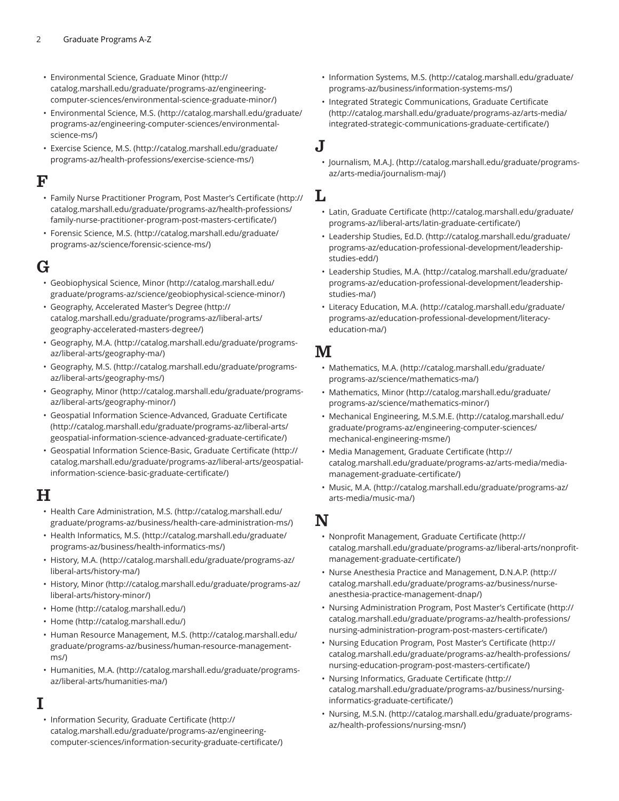- [Environmental](http://catalog.marshall.edu/graduate/programs-az/engineering-computer-sciences/environmental-science-graduate-minor/) Science, Graduate Minor ([http://](http://catalog.marshall.edu/graduate/programs-az/engineering-computer-sciences/environmental-science-graduate-minor/) [catalog.marshall.edu/graduate/programs-az/engineering](http://catalog.marshall.edu/graduate/programs-az/engineering-computer-sciences/environmental-science-graduate-minor/)[computer-sciences/environmental-science-graduate-minor/](http://catalog.marshall.edu/graduate/programs-az/engineering-computer-sciences/environmental-science-graduate-minor/))
- [Environmental](http://catalog.marshall.edu/graduate/programs-az/engineering-computer-sciences/environmental-science-ms/) Science, M.S. ([http://catalog.marshall.edu/graduate/](http://catalog.marshall.edu/graduate/programs-az/engineering-computer-sciences/environmental-science-ms/) [programs-az/engineering-computer-sciences/environmental](http://catalog.marshall.edu/graduate/programs-az/engineering-computer-sciences/environmental-science-ms/)[science-ms/](http://catalog.marshall.edu/graduate/programs-az/engineering-computer-sciences/environmental-science-ms/))
- [Exercise](http://catalog.marshall.edu/graduate/programs-az/health-professions/exercise-science-ms/) Science, M.S. [\(http://catalog.marshall.edu/graduate/](http://catalog.marshall.edu/graduate/programs-az/health-professions/exercise-science-ms/) [programs-az/health-professions/exercise-science-ms/\)](http://catalog.marshall.edu/graduate/programs-az/health-professions/exercise-science-ms/)

#### ${\bf F}$

- Family Nurse [Practitioner](http://catalog.marshall.edu/graduate/programs-az/health-professions/family-nurse-practitioner-program-post-masters-certificate/) Program, Post Master's Certificate [\(http://](http://catalog.marshall.edu/graduate/programs-az/health-professions/family-nurse-practitioner-program-post-masters-certificate/) [catalog.marshall.edu/graduate/programs-az/health-professions/](http://catalog.marshall.edu/graduate/programs-az/health-professions/family-nurse-practitioner-program-post-masters-certificate/) [family-nurse-practitioner-program-post-masters-certificate/](http://catalog.marshall.edu/graduate/programs-az/health-professions/family-nurse-practitioner-program-post-masters-certificate/))
- [Forensic](http://catalog.marshall.edu/graduate/programs-az/science/forensic-science-ms/) Science, M.S. [\(http://catalog.marshall.edu/graduate/](http://catalog.marshall.edu/graduate/programs-az/science/forensic-science-ms/) [programs-az/science/forensic-science-ms/](http://catalog.marshall.edu/graduate/programs-az/science/forensic-science-ms/))

# G

- [Geobiophysical Science, Minor](http://catalog.marshall.edu/graduate/programs-az/science/geobiophysical-science-minor/) [\(http://catalog.marshall.edu/](http://catalog.marshall.edu/graduate/programs-az/science/geobiophysical-science-minor/) [graduate/programs-az/science/geobiophysical-science-minor/\)](http://catalog.marshall.edu/graduate/programs-az/science/geobiophysical-science-minor/)
- Geography, [Accelerated](http://catalog.marshall.edu/graduate/programs-az/liberal-arts/geography-accelerated-masters-degree/) Master's Degree ([http://](http://catalog.marshall.edu/graduate/programs-az/liberal-arts/geography-accelerated-masters-degree/) [catalog.marshall.edu/graduate/programs-az/liberal-arts/](http://catalog.marshall.edu/graduate/programs-az/liberal-arts/geography-accelerated-masters-degree/) [geography-accelerated-masters-degree/\)](http://catalog.marshall.edu/graduate/programs-az/liberal-arts/geography-accelerated-masters-degree/)
- [Geography,](http://catalog.marshall.edu/graduate/programs-az/liberal-arts/geography-ma/) M.A. ([http://catalog.marshall.edu/graduate/programs](http://catalog.marshall.edu/graduate/programs-az/liberal-arts/geography-ma/)[az/liberal-arts/geography-ma/\)](http://catalog.marshall.edu/graduate/programs-az/liberal-arts/geography-ma/)
- [Geography,](http://catalog.marshall.edu/graduate/programs-az/liberal-arts/geography-ms/) M.S. ([http://catalog.marshall.edu/graduate/programs](http://catalog.marshall.edu/graduate/programs-az/liberal-arts/geography-ms/)[az/liberal-arts/geography-ms/](http://catalog.marshall.edu/graduate/programs-az/liberal-arts/geography-ms/))
- [Geography,](http://catalog.marshall.edu/graduate/programs-az/liberal-arts/geography-minor/) Minor [\(http://catalog.marshall.edu/graduate/programs](http://catalog.marshall.edu/graduate/programs-az/liberal-arts/geography-minor/)[az/liberal-arts/geography-minor/](http://catalog.marshall.edu/graduate/programs-az/liberal-arts/geography-minor/))
- Geospatial Information [Science-Advanced,](http://catalog.marshall.edu/graduate/programs-az/liberal-arts/geospatial-information-science-advanced-graduate-certificate/) Graduate Certificate [\(http://catalog.marshall.edu/graduate/programs-az/liberal-arts/](http://catalog.marshall.edu/graduate/programs-az/liberal-arts/geospatial-information-science-advanced-graduate-certificate/) [geospatial-information-science-advanced-graduate-certificate/\)](http://catalog.marshall.edu/graduate/programs-az/liberal-arts/geospatial-information-science-advanced-graduate-certificate/)
- Geospatial Information [Science-Basic,](http://catalog.marshall.edu/graduate/programs-az/liberal-arts/geospatial-information-science-basic-graduate-certificate/) Graduate Certificate [\(http://](http://catalog.marshall.edu/graduate/programs-az/liberal-arts/geospatial-information-science-basic-graduate-certificate/) [catalog.marshall.edu/graduate/programs-az/liberal-arts/geospatial](http://catalog.marshall.edu/graduate/programs-az/liberal-arts/geospatial-information-science-basic-graduate-certificate/)[information-science-basic-graduate-certificate/\)](http://catalog.marshall.edu/graduate/programs-az/liberal-arts/geospatial-information-science-basic-graduate-certificate/)

#### $\bf H$

- Health Care [Administration,](http://catalog.marshall.edu/graduate/programs-az/business/health-care-administration-ms/) M.S. [\(http://catalog.marshall.edu/](http://catalog.marshall.edu/graduate/programs-az/business/health-care-administration-ms/) [graduate/programs-az/business/health-care-administration-ms/\)](http://catalog.marshall.edu/graduate/programs-az/business/health-care-administration-ms/)
- [Health Informatics, M.S. \(http://catalog.marshall.edu/graduate/](http://catalog.marshall.edu/graduate/programs-az/business/health-informatics-ms/) [programs-az/business/health-informatics-ms/](http://catalog.marshall.edu/graduate/programs-az/business/health-informatics-ms/))
- [History,](http://catalog.marshall.edu/graduate/programs-az/liberal-arts/history-ma/) M.A. [\(http://catalog.marshall.edu/graduate/programs-az/](http://catalog.marshall.edu/graduate/programs-az/liberal-arts/history-ma/) [liberal-arts/history-ma/\)](http://catalog.marshall.edu/graduate/programs-az/liberal-arts/history-ma/)
- [History,](http://catalog.marshall.edu/graduate/programs-az/liberal-arts/history-minor/) Minor [\(http://catalog.marshall.edu/graduate/programs-az/](http://catalog.marshall.edu/graduate/programs-az/liberal-arts/history-minor/) [liberal-arts/history-minor/](http://catalog.marshall.edu/graduate/programs-az/liberal-arts/history-minor/))
- [Home \(http://catalog.marshall.edu/](http://catalog.marshall.edu/))
- [Home \(http://catalog.marshall.edu/](http://catalog.marshall.edu/))
- Human Resource [Management,](http://catalog.marshall.edu/graduate/programs-az/business/human-resource-management-ms/) M.S. ([http://catalog.marshall.edu/](http://catalog.marshall.edu/graduate/programs-az/business/human-resource-management-ms/) [graduate/programs-az/business/human-resource-management](http://catalog.marshall.edu/graduate/programs-az/business/human-resource-management-ms/)[ms/](http://catalog.marshall.edu/graduate/programs-az/business/human-resource-management-ms/))
- [Humanities, M.A.](http://catalog.marshall.edu/graduate/programs-az/liberal-arts/humanities-ma/) ([http://catalog.marshall.edu/graduate/programs](http://catalog.marshall.edu/graduate/programs-az/liberal-arts/humanities-ma/)[az/liberal-arts/humanities-ma/](http://catalog.marshall.edu/graduate/programs-az/liberal-arts/humanities-ma/))

#### I

• [Information](http://catalog.marshall.edu/graduate/programs-az/engineering-computer-sciences/information-security-graduate-certificate/) Security, Graduate Certificate [\(http://](http://catalog.marshall.edu/graduate/programs-az/engineering-computer-sciences/information-security-graduate-certificate/) [catalog.marshall.edu/graduate/programs-az/engineering](http://catalog.marshall.edu/graduate/programs-az/engineering-computer-sciences/information-security-graduate-certificate/)[computer-sciences/information-security-graduate-certificate/](http://catalog.marshall.edu/graduate/programs-az/engineering-computer-sciences/information-security-graduate-certificate/))

- [Information Systems, M.S.](http://catalog.marshall.edu/graduate/programs-az/business/information-systems-ms/) ([http://catalog.marshall.edu/graduate/](http://catalog.marshall.edu/graduate/programs-az/business/information-systems-ms/) [programs-az/business/information-systems-ms/](http://catalog.marshall.edu/graduate/programs-az/business/information-systems-ms/))
- Integrated Strategic [Communications,](http://catalog.marshall.edu/graduate/programs-az/arts-media/integrated-strategic-communications-graduate-certificate/) Graduate Certificate ([http://catalog.marshall.edu/graduate/programs-az/arts-media/](http://catalog.marshall.edu/graduate/programs-az/arts-media/integrated-strategic-communications-graduate-certificate/) [integrated-strategic-communications-graduate-certificate/\)](http://catalog.marshall.edu/graduate/programs-az/arts-media/integrated-strategic-communications-graduate-certificate/)

#### J

• [Journalism, M.A.J.](http://catalog.marshall.edu/graduate/programs-az/arts-media/journalism-maj/) [\(http://catalog.marshall.edu/graduate/programs](http://catalog.marshall.edu/graduate/programs-az/arts-media/journalism-maj/)[az/arts-media/journalism-maj/\)](http://catalog.marshall.edu/graduate/programs-az/arts-media/journalism-maj/)

#### L

- Latin, Graduate [Certificate \(http://catalog.marshall.edu/graduate/](http://catalog.marshall.edu/graduate/programs-az/liberal-arts/latin-graduate-certificate/) [programs-az/liberal-arts/latin-graduate-certificate/](http://catalog.marshall.edu/graduate/programs-az/liberal-arts/latin-graduate-certificate/))
- [Leadership](http://catalog.marshall.edu/graduate/programs-az/education-professional-development/leadership-studies-edd/) Studies, Ed.D. ([http://catalog.marshall.edu/graduate/](http://catalog.marshall.edu/graduate/programs-az/education-professional-development/leadership-studies-edd/) [programs-az/education-professional-development/leadership](http://catalog.marshall.edu/graduate/programs-az/education-professional-development/leadership-studies-edd/)[studies-edd/\)](http://catalog.marshall.edu/graduate/programs-az/education-professional-development/leadership-studies-edd/)
- [Leadership Studies, M.A. \(http://catalog.marshall.edu/graduate/](http://catalog.marshall.edu/graduate/programs-az/education-professional-development/leadership-studies-ma/) [programs-az/education-professional-development/leadership](http://catalog.marshall.edu/graduate/programs-az/education-professional-development/leadership-studies-ma/)[studies-ma/\)](http://catalog.marshall.edu/graduate/programs-az/education-professional-development/leadership-studies-ma/)
- Literacy [Education,](http://catalog.marshall.edu/graduate/programs-az/education-professional-development/literacy-education-ma/) M.A. [\(http://catalog.marshall.edu/graduate/](http://catalog.marshall.edu/graduate/programs-az/education-professional-development/literacy-education-ma/) [programs-az/education-professional-development/literacy](http://catalog.marshall.edu/graduate/programs-az/education-professional-development/literacy-education-ma/)[education-ma/\)](http://catalog.marshall.edu/graduate/programs-az/education-professional-development/literacy-education-ma/)

# **M**

- [Mathematics, M.A.](http://catalog.marshall.edu/graduate/programs-az/science/mathematics-ma/) ([http://catalog.marshall.edu/graduate/](http://catalog.marshall.edu/graduate/programs-az/science/mathematics-ma/) [programs-az/science/mathematics-ma/](http://catalog.marshall.edu/graduate/programs-az/science/mathematics-ma/))
- [Mathematics, Minor \(http://catalog.marshall.edu/graduate/](http://catalog.marshall.edu/graduate/programs-az/science/mathematics-minor/) [programs-az/science/mathematics-minor/\)](http://catalog.marshall.edu/graduate/programs-az/science/mathematics-minor/)
- [Mechanical Engineering, M.S.M.E.](http://catalog.marshall.edu/graduate/programs-az/engineering-computer-sciences/mechanical-engineering-msme/) ([http://catalog.marshall.edu/](http://catalog.marshall.edu/graduate/programs-az/engineering-computer-sciences/mechanical-engineering-msme/) [graduate/programs-az/engineering-computer-sciences/](http://catalog.marshall.edu/graduate/programs-az/engineering-computer-sciences/mechanical-engineering-msme/) [mechanical-engineering-msme/](http://catalog.marshall.edu/graduate/programs-az/engineering-computer-sciences/mechanical-engineering-msme/))
- Media [Management,](http://catalog.marshall.edu/graduate/programs-az/arts-media/media-management-graduate-certificate/) Graduate Certificate [\(http://](http://catalog.marshall.edu/graduate/programs-az/arts-media/media-management-graduate-certificate/) [catalog.marshall.edu/graduate/programs-az/arts-media/media](http://catalog.marshall.edu/graduate/programs-az/arts-media/media-management-graduate-certificate/)[management-graduate-certificate/](http://catalog.marshall.edu/graduate/programs-az/arts-media/media-management-graduate-certificate/))
- [Music, M.A. \(http://catalog.marshall.edu/graduate/programs-az/](http://catalog.marshall.edu/graduate/programs-az/arts-media/music-ma/) [arts-media/music-ma/\)](http://catalog.marshall.edu/graduate/programs-az/arts-media/music-ma/)

# N

- Nonprofit [Management,](http://catalog.marshall.edu/graduate/programs-az/liberal-arts/nonprofit-management-graduate-certificate/) Graduate Certificate ([http://](http://catalog.marshall.edu/graduate/programs-az/liberal-arts/nonprofit-management-graduate-certificate/) [catalog.marshall.edu/graduate/programs-az/liberal-arts/nonprofit](http://catalog.marshall.edu/graduate/programs-az/liberal-arts/nonprofit-management-graduate-certificate/)[management-graduate-certificate/](http://catalog.marshall.edu/graduate/programs-az/liberal-arts/nonprofit-management-graduate-certificate/))
- Nurse Anesthesia Practice and [Management,](http://catalog.marshall.edu/graduate/programs-az/business/nurse-anesthesia-practice-management-dnap/) D.N.A.P. [\(http://](http://catalog.marshall.edu/graduate/programs-az/business/nurse-anesthesia-practice-management-dnap/) [catalog.marshall.edu/graduate/programs-az/business/nurse](http://catalog.marshall.edu/graduate/programs-az/business/nurse-anesthesia-practice-management-dnap/)[anesthesia-practice-management-dnap/](http://catalog.marshall.edu/graduate/programs-az/business/nurse-anesthesia-practice-management-dnap/))
- Nursing [Administration](http://catalog.marshall.edu/graduate/programs-az/health-professions/nursing-administration-program-post-masters-certificate/) Program, Post Master's Certificate [\(http://](http://catalog.marshall.edu/graduate/programs-az/health-professions/nursing-administration-program-post-masters-certificate/) [catalog.marshall.edu/graduate/programs-az/health-professions/](http://catalog.marshall.edu/graduate/programs-az/health-professions/nursing-administration-program-post-masters-certificate/) [nursing-administration-program-post-masters-certificate/](http://catalog.marshall.edu/graduate/programs-az/health-professions/nursing-administration-program-post-masters-certificate/))
- Nursing Education Program, Post Master's [Certificate \(http://](http://catalog.marshall.edu/graduate/programs-az/health-professions/nursing-education-program-post-masters-certificate/) [catalog.marshall.edu/graduate/programs-az/health-professions/](http://catalog.marshall.edu/graduate/programs-az/health-professions/nursing-education-program-post-masters-certificate/) [nursing-education-program-post-masters-certificate/\)](http://catalog.marshall.edu/graduate/programs-az/health-professions/nursing-education-program-post-masters-certificate/)
- Nursing [Informatics,](http://catalog.marshall.edu/graduate/programs-az/business/nursing-informatics-graduate-certificate/) Graduate Certificate [\(http://](http://catalog.marshall.edu/graduate/programs-az/business/nursing-informatics-graduate-certificate/) [catalog.marshall.edu/graduate/programs-az/business/nursing](http://catalog.marshall.edu/graduate/programs-az/business/nursing-informatics-graduate-certificate/)[informatics-graduate-certificate/\)](http://catalog.marshall.edu/graduate/programs-az/business/nursing-informatics-graduate-certificate/)
- [Nursing, M.S.N. \(http://catalog.marshall.edu/graduate/programs](http://catalog.marshall.edu/graduate/programs-az/health-professions/nursing-msn/)[az/health-professions/nursing-msn/\)](http://catalog.marshall.edu/graduate/programs-az/health-professions/nursing-msn/)